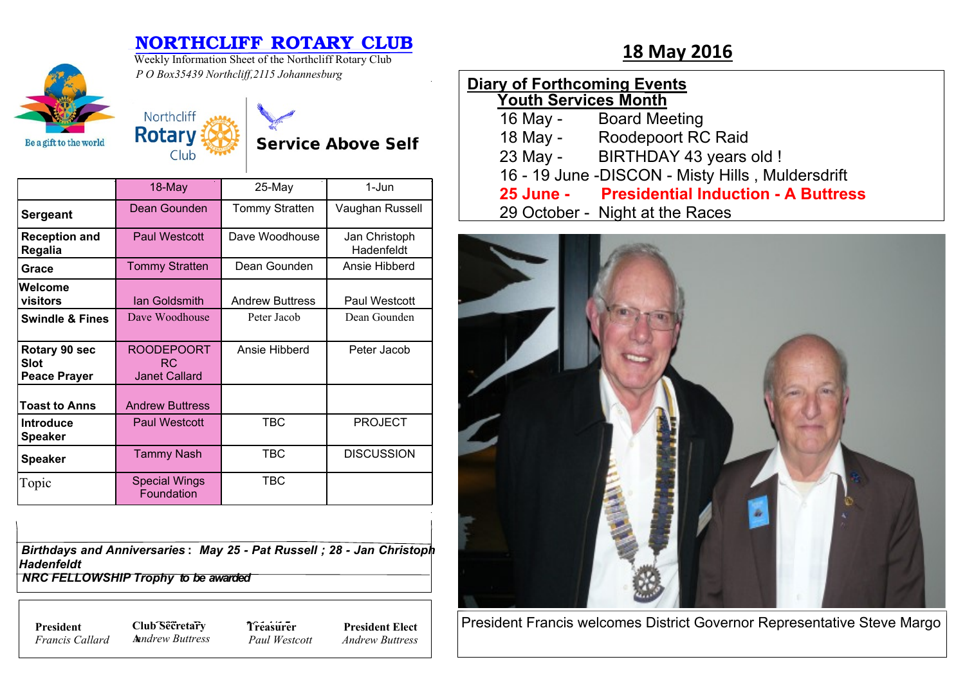## **NORTHCLIFF ROTARY CLUB**<br>Weekly Information Sheet of the Northcliff Rotary Club **18 May 2016**



Weekly Information Sheet of the Northcliff Rotary Club *P O Box35439 Northcliff,2115 Johannesburg*

| <b>Diary of Forthcoming Events</b><br><b>Youth Services Month</b> |                                                   |
|-------------------------------------------------------------------|---------------------------------------------------|
| 16 May -                                                          | <b>Board Meeting</b>                              |
|                                                                   | 18 May - Roodepoort RC Raid                       |
| 23 May -                                                          | BIRTHDAY 43 years old !                           |
|                                                                   | 16 - 19 June - DISCON - Misty Hills, Muldersdrift |
|                                                                   | 25 June - Presidential Induction - A Buttress     |
|                                                                   | 29 October - Night at the Races                   |



President Francis welcomes District Governor Representative Steve Margo

| Northcliff |
|------------|
| Rotary     |
| Club       |

**Service Above Self** 

|                                                     | 18-May                                           | 25-May                 | 1-Jun                       |
|-----------------------------------------------------|--------------------------------------------------|------------------------|-----------------------------|
| <b>Sergeant</b>                                     | Dean Gounden                                     | <b>Tommy Stratten</b>  | Vaughan Russell             |
| <b>Reception and</b><br>Regalia                     | <b>Paul Westcott</b>                             | Dave Woodhouse         | Jan Christoph<br>Hadenfeldt |
| Grace                                               | <b>Tommy Stratten</b>                            | Dean Gounden           | Ansie Hibberd               |
| Welcome<br>visitors                                 | lan Goldsmith                                    | <b>Andrew Buttress</b> | Paul Westcott               |
| <b>Swindle &amp; Fines</b>                          | Dave Woodhouse                                   | Peter Jacob            | Dean Gounden                |
| Rotary 90 sec<br><b>Slot</b><br><b>Peace Prayer</b> | <b>ROODEPOORT</b><br>RC.<br><b>Janet Callard</b> | Ansie Hibberd          | Peter Jacob                 |
| <b>Toast to Anns</b>                                | <b>Andrew Buttress</b>                           |                        |                             |
| <b>Introduce</b><br><b>Speaker</b>                  | <b>Paul Westcott</b>                             | <b>TBC</b>             | <b>PROJECT</b>              |
| <b>Speaker</b>                                      | <b>Tammy Nash</b>                                | TBC                    | <b>DISCUSSION</b>           |
| Topic                                               | <b>Special Wings</b><br>Foundation               | <b>TBC</b>             |                             |

*Birthdays and Anniversaries* **:** *May 25 - Pat Russell ; 28 - Jan Christoph Hadenfeldt*

 *NRC FELLOWSHIP Trophy to be awarded*

*Francis Callard*

**President Club Secretary 7** *Treasure* **A***nndrew Buttress* **Treasurer** *Paul Westcott*

**President Elect** *Andrew Buttress*